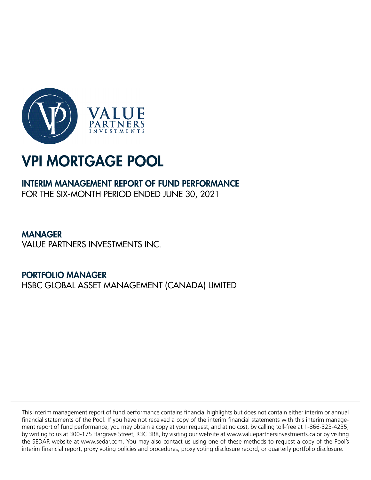

# INTERIM MANAGEMENT REPORT OF FUND PERFORMANCE FOR THE SIX-MONTH PERIOD ENDED JUNE 30, 2021

**MANAGER** VALUE PARTNERS INVESTMENTS INC.

PORTFOLIO MANAGER HSBC GLOBAL ASSET MANAGEMENT (CANADA) LIMITED

This interim management report of fund performance contains financial highlights but does not contain either interim or annual financial statements of the Pool. If you have not received a copy of the interim financial statements with this interim management report of fund performance, you may obtain a copy at your request, and at no cost, by calling toll-free at 1-866-323-4235, by writing to us at 300-175 Hargrave Street, R3C 3R8, by visiting our website at www.valuepartnersinvestments.ca or by visiting the SEDAR website at www.sedar.com. You may also contact us using one of these methods to request a copy of the Pool's interim financial report, proxy voting policies and procedures, proxy voting disclosure record, or quarterly portfolio disclosure.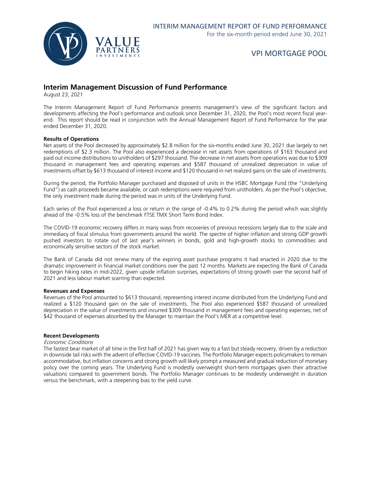

### **Interim Management Discussion of Fund Performance**

August 23, 2021

The Interim Management Report of Fund Performance presents management's view of the significant factors and developments affecting the Pool's performance and outlook since December 31, 2020, the Pool's most recent fiscal yearend. This report should be read in conjunction with the Annual Management Report of Fund Performance for the year ended December 31, 2020.

#### **Results of Operations**

Net assets of the Pool decreased by approximately \$2.8 million for the six-months ended June 30, 2021 due largely to net redemptions of \$2.3 million. The Pool also experienced a decrease in net assets from operations of \$163 thousand and paid out income distributions to unitholders of \$297 thousand. The decrease in net assets from operations was due to \$309 thousand in management fees and operating expenses and \$587 thousand of unrealized depreciation in value of investments offset by \$613 thousand of interest income and \$120 thousand in net realized gains on the sale of investments.

During the period, the Portfolio Manager purchased and disposed of units in the HSBC Mortgage Fund (the "Underlying Fund") as cash proceeds became available, or cash redemptions were required from unitholders. As per the Pool's objective, the only investment made during the period was in units of the Underlying Fund.

Each series of the Pool experienced a loss or return in the range of -0.4% to 0.2% during the period which was slightly ahead of the -0.5% loss of the benchmark FTSE TMX Short Term Bond Index.

The COVID-19 economic recovery differs in many ways from recoveries of previous recessions largely due to the scale and immediacy of fiscal stimulus from governments around the world. The spectre of higher inflation and strong GDP growth pushed investors to rotate out of last year's winners in bonds, gold and high-growth stocks to commodities and economically sensitive sectors of the stock market.

The Bank of Canada did not renew many of the expiring asset purchase programs it had enacted in 2020 due to the dramatic improvement in financial market conditions over the past 12 months. Markets are expecting the Bank of Canada to begin hiking rates in mid-2022, given upside inflation surprises, expectations of strong growth over the second half of 2021 and less labour market scarring than expected.

#### **Revenues and Expenses**

Revenues of the Pool amounted to \$613 thousand, representing interest income distributed from the Underlying Fund and realized a \$120 thousand gain on the sale of investments. The Pool also experienced \$587 thousand of unrealized depreciation in the value of investments and incurred \$309 thousand in management fees and operating expenses, net of \$42 thousand of expenses absorbed by the Manager to maintain the Pool's MER at a competitive level.

#### **Recent Developments**

#### Economic Conditions

The fastest bear market of all time in the first half of 2021 has given way to a fast but steady recovery, driven by a reduction in downside tail risks with the advent of effective COVID-19 vaccines. The Portfolio Manager expects policymakers to remain accommodative, but inflation concerns and strong growth will likely prompt a measured and gradual reduction of monetary policy over the coming years. The Underlying Fund is modestly overweight short-term mortgages given their attractive valuations compared to government bonds. The Portfolio Manager continues to be modestly underweight in duration versus the benchmark, with a steepening bias to the yield curve.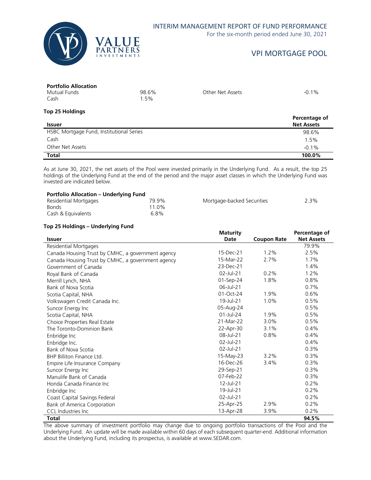

### INTERIM MANAGEMENT REPORT OF FUND PERFORMANCE

For the six-month period ended June 30, 2021

# VPI MORTGAGE POOL

# **Portfolio Allocation**

| Mutual Funds | 98.6% | Other Net Assets | $-0.1%$ |
|--------------|-------|------------------|---------|
| Cash         | .5%   |                  |         |

#### **Top 25 Holdings Issuer Percentage of Net Assets** HSBC Mortgage Fund, Institutional Series 68 and 2008 198.6% Cash 1.5% Other Net Assets **-0.1%** -0.1% **Total 100.0%**

As at June 30, 2021, the net assets of the Pool were invested primarily in the Underlying Fund. As a result, the top 25 holdings of the Underlying Fund at the end of the period and the major asset classes in which the Underlying Fund was invested are indicated below.

| <b>Portfolio Allocation – Underlying Fund</b> |                   |                            |      |
|-----------------------------------------------|-------------------|----------------------------|------|
| Residential Mortgages                         | 79.9%             | Mortgage-backed Securities | 2.3% |
| <b>Bonds</b>                                  | 11 0 <sub>%</sub> |                            |      |
| Cash & Equivalents                            | 6.8%              |                            |      |

### **Top 25 Holdings – Underlying Fund**

|                                                   | <b>Maturity</b> |                    | Percentage of     |
|---------------------------------------------------|-----------------|--------------------|-------------------|
| <b>Issuer</b>                                     | Date            | <b>Coupon Rate</b> | <b>Net Assets</b> |
| Residential Mortgages                             |                 |                    | 79.9%             |
| Canada Housing Trust by CMHC, a government agency | 15-Dec-21       | 1.2%               | 2.5%              |
| Canada Housing Trust by CMHC, a government agency | 15-Mar-22       | 2.7%               | 1.7%              |
| Government of Canada                              | 23-Dec-21       |                    | 1.4%              |
| Royal Bank of Canada                              | 02-Jul-21       | 0.2%               | 1.2%              |
| Merrill Lynch, NHA                                | 01-Sep-24       | 1.8%               | 0.8%              |
| Bank of Nova Scotia                               | 06-Jul-21       |                    | 0.7%              |
| Scotia Capital, NHA                               | 01-Oct-24       | 1.9%               | 0.6%              |
| Volkswagen Credit Canada Inc.                     | 19-Jul-21       | 1.0%               | 0.5%              |
| Suncor Energy Inc                                 | 05-Aug-24       |                    | 0.5%              |
| Scotia Capital, NHA                               | $01$ -Jul-24    | 1.9%               | 0.5%              |
| Choice Properties Real Estate                     | 21-Mar-22       | 3.0%               | 0.5%              |
| The Toronto-Dominion Bank                         | 22-Apr-30       | 3.1%               | 0.4%              |
| Enbridge Inc                                      | 08-Jul-21       | 0.8%               | 0.4%              |
| Enbridge Inc.                                     | 02-Jul-21       |                    | 0.4%              |
| Bank of Nova Scotia                               | 02-Jul-21       |                    | 0.3%              |
| BHP Billiton Finance Ltd.                         | 15-May-23       | 3.2%               | 0.3%              |
| Empire Life Insurance Company                     | 16-Dec-26       | 3.4%               | 0.3%              |
| Suncor Energy Inc                                 | 29-Sep-21       |                    | 0.3%              |
| Manulife Bank of Canada                           | 07-Feb-22       |                    | 0.3%              |
| Honda Canada Finance Inc                          | 12-Jul-21       |                    | 0.2%              |
| Enbridge Inc                                      | 19-Jul-21       |                    | 0.2%              |
| Coast Capital Savings Federal                     | 02-Jul-21       |                    | 0.2%              |
| Bank of America Corporation                       | 25-Apr-25       | 2.9%               | 0.2%              |
| <b>CCL</b> Industries Inc.                        | 13-Apr-28       | 3.9%               | 0.2%              |
| <b>Total</b>                                      |                 |                    | 94.5%             |

The above summary of investment portfolio may change due to ongoing portfolio transactions of the Pool and the Underlying Fund. An update will be made available within 60 days of each subsequent quarter-end. Additional information about the Underlying Fund, including its prospectus, is available at www.SEDAR.com.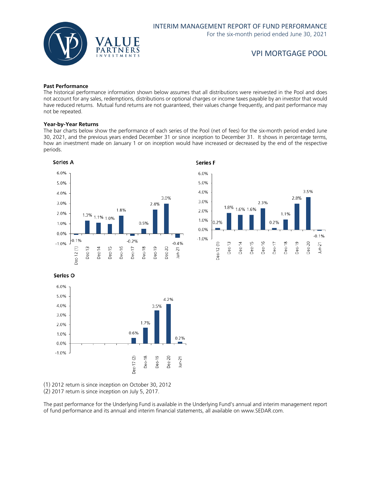

### **Past Performance**

The historical performance information shown below assumes that all distributions were reinvested in the Pool and does not account for any sales, redemptions, distributions or optional charges or income taxes payable by an investor that would have reduced returns. Mutual fund returns are not guaranteed, their values change frequently, and past performance may not be repeated.

### **Year-by-Year Returns**

The bar charts below show the performance of each series of the Pool (net of fees) for the six-month period ended June 30, 2021, and the previous years ended December 31 or since inception to December 31. It shows in percentage terms, how an investment made on January 1 or on inception would have increased or decreased by the end of the respective periods.





Series O



(1) 2012 return is since inception on October 30, 2012

(2) 2017 return is since inception on July 5, 2017.

The past performance for the Underlying Fund is available in the Underlying Fund's annual and interim management report of fund performance and its annual and interim financial statements, all available on www.SEDAR.com.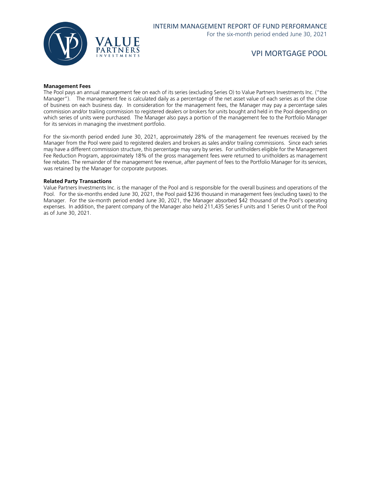

#### **Management Fees**

The Pool pays an annual management fee on each of its series (excluding Series O) to Value Partners Investments Inc. ("the Manager"). The management fee is calculated daily as a percentage of the net asset value of each series as of the close of business on each business day. In consideration for the management fees, the Manager may pay a percentage sales commission and/or trailing commission to registered dealers or brokers for units bought and held in the Pool depending on which series of units were purchased. The Manager also pays a portion of the management fee to the Portfolio Manager for its services in managing the investment portfolio.

For the six-month period ended June 30, 2021, approximately 28% of the management fee revenues received by the Manager from the Pool were paid to registered dealers and brokers as sales and/or trailing commissions. Since each series may have a different commission structure, this percentage may vary by series. For unitholders eligible for the Management Fee Reduction Program, approximately 18% of the gross management fees were returned to unitholders as management fee rebates. The remainder of the management fee revenue, after payment of fees to the Portfolio Manager for its services, was retained by the Manager for corporate purposes.

#### **Related Party Transactions**

Value Partners Investments Inc. is the manager of the Pool and is responsible for the overall business and operations of the Pool. For the six-months ended June 30, 2021, the Pool paid \$236 thousand in management fees (excluding taxes) to the Manager. For the six-month period ended June 30, 2021, the Manager absorbed \$42 thousand of the Pool's operating expenses. In addition, the parent company of the Manager also held 211,435 Series F units and 1 Series O unit of the Pool as of June 30, 2021.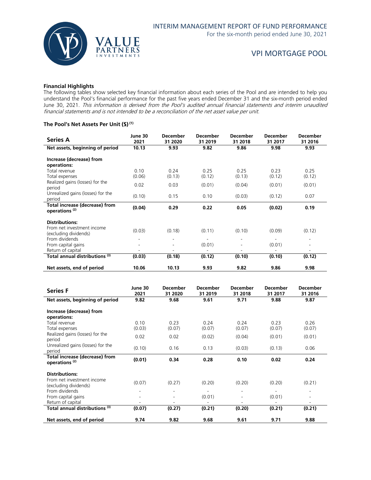

### **Financial Highlights**

The following tables show selected key financial information about each series of the Pool and are intended to help you understand the Pool's financial performance for the past five years ended December 31 and the six-month period ended June 30, 2021. This information is derived from the Pool's audited annual financial statements and interim unaudited financial statements and is not intended to be a reconciliation of the net asset value per unit.

### **The Pool's Net Assets Per Unit (\$) (1)**

| <b>Series A</b>                                             | June 30<br>2021 | <b>December</b><br>31 2020 | <b>December</b><br>31 2019 | <b>December</b><br>31 2018 | <b>December</b><br>31 2017         | <b>December</b><br>31 2016 |
|-------------------------------------------------------------|-----------------|----------------------------|----------------------------|----------------------------|------------------------------------|----------------------------|
| Net assets, beginning of period                             | 10.13           | 9.93                       | 9.82                       | 9.86                       | 9.98                               | 9.93                       |
| Increase (decrease) from<br>operations:                     |                 |                            |                            |                            |                                    |                            |
| Total revenue<br>Total expenses                             | 0.10<br>(0.06)  | 0.24<br>(0.13)             | 0.25<br>(0.12)             | 0.25<br>(0.13)             | 0.23<br>(0.12)                     | 0.25<br>(0.12)             |
| Realized gains (losses) for the<br>period                   | 0.02            | 0.03                       | (0.01)                     | (0.04)                     | (0.01)                             | (0.01)                     |
| Unrealized gains (losses) for the<br>period                 | (0.10)          | 0.15                       | 0.10                       | (0.03)                     | (0.12)                             | 0.07                       |
| Total increase (decrease) from<br>operations <sup>(2)</sup> | (0.04)          | 0.29                       | 0.22                       | 0.05                       | (0.02)                             | 0.19                       |
| <b>Distributions:</b>                                       |                 |                            |                            |                            |                                    |                            |
| From net investment income<br>(excluding dividends)         | (0.03)          | (0.18)                     | (0.11)                     | (0.10)                     | (0.09)                             | (0.12)                     |
| From dividends<br>From capital gains                        | ٠               | $\overline{a}$             | ÷.<br>(0.01)               | ۰<br>۰                     | $\overline{\phantom{a}}$<br>(0.01) |                            |
| Return of capital                                           |                 |                            |                            |                            |                                    |                            |
| Total annual distributions (3)                              | (0.03)          | (0.18)                     | (0.12)                     | (0.10)                     | (0.10)                             | (0.12)                     |
| Net assets, end of period                                   | 10.06           | 10.13                      | 9.93                       | 9.82                       | 9.86                               | 9.98                       |

| <b>Series F</b>                                                    | June 30<br>2021              | December<br>31 2020            | December<br>31 2019                | <b>December</b><br>31 2018                           | December<br>31 2017 | <b>December</b><br>31 2016                                   |
|--------------------------------------------------------------------|------------------------------|--------------------------------|------------------------------------|------------------------------------------------------|---------------------|--------------------------------------------------------------|
| Net assets, beginning of period                                    | 9.82                         | 9.68                           | 9.61                               | 9.71                                                 | 9.88                | 9.87                                                         |
| Increase (decrease) from<br>operations:                            |                              |                                |                                    |                                                      |                     |                                                              |
| Total revenue<br>Total expenses                                    | 0.10<br>(0.03)               | 0.23<br>(0.07)                 | 0.24<br>(0.07)                     | 0.24<br>(0.07)                                       | 0.23<br>(0.07)      | 0.26<br>(0.07)                                               |
| Realized gains (losses) for the<br>period                          | 0.02                         | 0.02                           | (0.02)                             | (0.04)                                               | (0.01)              | (0.01)                                                       |
| Unrealized gains (losses) for the<br>period                        | (0.10)                       | 0.16                           | 0.13                               | (0.03)                                               | (0.13)              | 0.06                                                         |
| <b>Total increase (decrease) from</b><br>operations <sup>(2)</sup> | (0.01)                       | 0.34                           | 0.28                               | 0.10                                                 | 0.02                | 0.24                                                         |
| <b>Distributions:</b>                                              |                              |                                |                                    |                                                      |                     |                                                              |
| From net investment income<br>(excluding dividends)                | (0.07)                       | (0.27)                         | (0.20)                             | (0.20)                                               | (0.20)              | (0.21)                                                       |
| From dividends<br>From capital gains                               | $\qquad \qquad \blacksquare$ | ۰.<br>$\overline{\phantom{a}}$ | $\overline{\phantom{0}}$<br>(0.01) | $\overline{\phantom{a}}$<br>$\overline{\phantom{a}}$ | (0.01)              | $\qquad \qquad \blacksquare$<br>$\qquad \qquad \blacksquare$ |
| Return of capital                                                  |                              | ۰                              |                                    | ٠                                                    |                     | ۰                                                            |
| Total annual distributions (3)                                     | (0.07)                       | (0.27)                         | (0.21)                             | (0.20)                                               | (0.21)              | (0.21)                                                       |
| Net assets, end of period                                          | 9.74                         | 9.82                           | 9.68                               | 9.61                                                 | 9.71                | 9.88                                                         |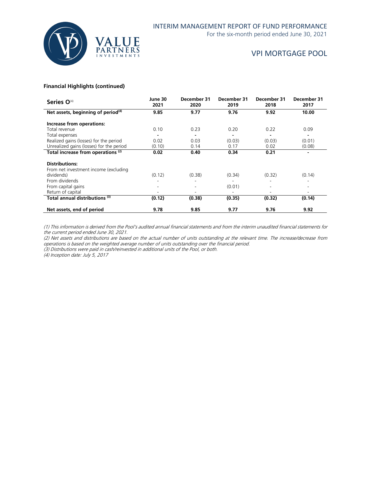

For the six-month period ended June 30, 2021

### VPI MORTGAGE POOL

### **Financial Highlights (continued)**

| Series O <sup>(4)</sup>                                        | June 30<br>2021 | December 31<br>2020 | December 31<br>2019 | December 31<br>2018 | December 31<br>2017 |
|----------------------------------------------------------------|-----------------|---------------------|---------------------|---------------------|---------------------|
| Net assets, beginning of period <sup>(4)</sup>                 | 9.85            | 9.77                | 9.76                | 9.92                | 10.00               |
| Increase from operations:                                      |                 |                     |                     |                     |                     |
| Total revenue                                                  | 0.10            | 0.23                | 0.20                | 0.22                | 0.09                |
| Total expenses                                                 |                 |                     |                     |                     |                     |
| Realized gains (losses) for the period                         | 0.02            | 0.03                | (0.03)              | (0.03)              | (0.01)              |
| Unrealized gains (losses) for the period                       | (0.10)          | 0.14                | 0.17                | 0.02                | (0.08)              |
| Total increase from operations <sup>(2)</sup>                  | 0.02            | 0.40                | 0.34                | 0.21                |                     |
| <b>Distributions:</b><br>From net investment income (excluding |                 |                     |                     |                     |                     |
| dividends)                                                     | (0.12)          | (0.38)              | (0.34)              | (0.32)              | (0.14)              |
| From dividends                                                 |                 |                     |                     |                     |                     |
| From capital gains                                             |                 |                     | (0.01)              |                     |                     |
| Return of capital                                              |                 |                     |                     |                     |                     |
| Total annual distributions (3)                                 | (0.12)          | (0.38)              | (0.35)              | (0.32)              | (0.14)              |
| Net assets, end of period                                      | 9.78            | 9.85                | 9.77                | 9.76                | 9.92                |

(1) This information is derived from the Pool's audited annual financial statements and from the interim unaudited financial statements for the current period ended June 30, 2021.

(2) Net assets and distributions are based on the actual number of units outstanding at the relevant time. The increase/decrease from operations is based on the weighted average number of units outstanding over the financial period.

(3) Distributions were paid in cash/reinvested in additional units of the Pool, or both.

(4) Inception date: July 5, 2017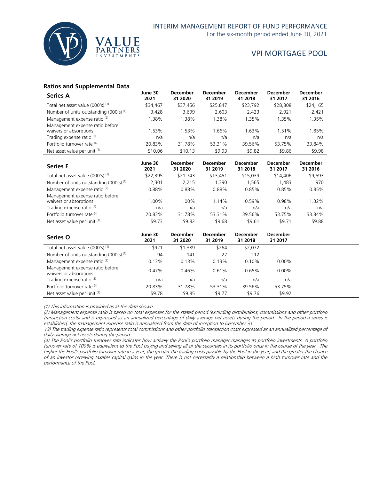

For the six-month period ended June 30, 2021

### VPI MORTGAGE POOL

### **Ratios and Supplemental Data**

| <b>Series A</b>                                    | June 30<br>2021 | <b>December</b><br>31 2020 | <b>December</b><br>31 2019 | <b>December</b><br>31 2018 | <b>December</b><br>31 2017 | <b>December</b><br>31 2016 |
|----------------------------------------------------|-----------------|----------------------------|----------------------------|----------------------------|----------------------------|----------------------------|
| Total net asset value (000's) <sup>(1)</sup>       | \$34,467        | \$37,456                   | \$25,847                   | \$23,792                   | \$28,808                   | \$24,165                   |
| Number of units outstanding (000's) <sup>(1)</sup> | 3,428           | 3,699                      | 2,603                      | 2.423                      | 2.921                      | 2,421                      |
| Management expense ratio <sup>(2)</sup>            | 1.38%           | 1.38%                      | 1.38%                      | 1.35%                      | 1.35%                      | l.35%                      |
| Management expense ratio before                    |                 |                            |                            |                            |                            |                            |
| waivers or absorptions                             | 1.53%           | 1.53%                      | 1.66%                      | 1.63%                      | 1.51%                      | .85%                       |
| Trading expense ratio <sup>(3)</sup>               | n/a             | n/a                        | n/a                        | n/a                        | n/a                        | n/a                        |
| Portfolio turnover rate (4)                        | 20.83%          | 31.78%                     | 53.31%                     | 39.56%                     | 53.75%                     | 33.84%                     |
| Net asset value per unit (1)                       | \$10.06         | \$10.13                    | \$9.93                     | \$9.82                     | \$9.86                     | \$9.98                     |

| <b>Series F</b>                                           | June 30<br>2021 | <b>December</b><br>31 2020 | <b>December</b><br>31 2019 | <b>December</b><br>31 2018 | <b>December</b><br>31 2017 | <b>December</b><br>31 2016 |
|-----------------------------------------------------------|-----------------|----------------------------|----------------------------|----------------------------|----------------------------|----------------------------|
| Total net asset value (000's) (1)                         | \$22,395        | \$21,743                   | \$13,451                   | \$15,039                   | \$14,406                   | \$9,593                    |
| Number of units outstanding $(000's)^{(1)}$               | 2.301           | 2.215                      | 1,390                      | 1.565                      | 1.483                      | 970                        |
| Management expense ratio <sup>(2)</sup>                   | 0.88%           | 0.88%                      | 0.88%                      | 0.85%                      | 0.85%                      | 0.85%                      |
| Management expense ratio before<br>waivers or absorptions | 1.00%           | 1.00%                      | 1.14%                      | 0.59%                      | 0.98%                      | 1.32%                      |
| Trading expense ratio <sup>(3)</sup>                      | n/a             | n/a                        | n/a                        | n/a                        | n/a                        | n/a                        |
| Portfolio turnover rate (4)                               | 20.83%          | 31.78%                     | 53.31%                     | 39.56%                     | 53.75%                     | 33.84%                     |
| Net asset value per unit (1)                              | \$9.73          | \$9.82                     | \$9.68                     | \$9.61                     | \$9.71                     | \$9.88                     |

| <b>Series O</b>                                           | June 30<br>2021 | <b>December</b><br>31 2020 | <b>December</b><br>31 2019 | <b>December</b><br>31 2018 | <b>December</b><br>31 2017 |
|-----------------------------------------------------------|-----------------|----------------------------|----------------------------|----------------------------|----------------------------|
| Total net asset value (000's) <sup>(1)</sup>              | \$921           | \$1,389                    | \$264                      | \$2,072                    | $\overline{\phantom{a}}$   |
| Number of units outstanding $(000's)^{(1)}$               | 94              | 141                        | 27                         | 212                        | $\overline{\phantom{a}}$   |
| Management expense ratio <sup>(2)</sup>                   | 0.13%           | 0.13%                      | 0.13%                      | 0.10%                      | $0.00\%$                   |
| Management expense ratio before<br>waivers or absorptions | $0.47\%$        | 0.46%                      | 0.61%                      | 0.65%                      | $0.00\%$                   |
| Trading expense ratio <sup>(3)</sup>                      | n/a             | n/a                        | n/a                        | n/a                        | n/a                        |
| Portfolio turnover rate (4)                               | 20.83%          | 31.78%                     | 53.31%                     | 39.56%                     | 53.75%                     |
| Net asset value per unit (1)                              | \$9.78          | \$9.85                     | \$9.77                     | \$9.76                     | \$9.92                     |

(1) This information is provided as at the date shown.

(2) Management expense ratio is based on total expenses for the stated period (excluding distributions, commissions and other portfolio transaction costs) and is expressed as an annualized percentage of daily average net assets during the period. In the period a series is established, the management expense ratio is annualized from the date of inception to December 31.

(3) The trading expense ratio represents total commissions and other portfolio transaction costs expressed as an annualized percentage of daily average net assets during the period.

(4) The Pool's portfolio turnover rate indicates how actively the Pool's portfolio manager manages its portfolio investments. A portfolio turnover rate of 100% is equivalent to the Pool buying and selling all of the securities in its portfolio once in the course of the year. The higher the Pool's portfolio turnover rate in a year, the greater the trading costs payable by the Pool in the year, and the greater the chance of an investor receiving taxable capital gains in the year. There is not necessarily a relationship between a high turnover rate and the performance of the Pool.